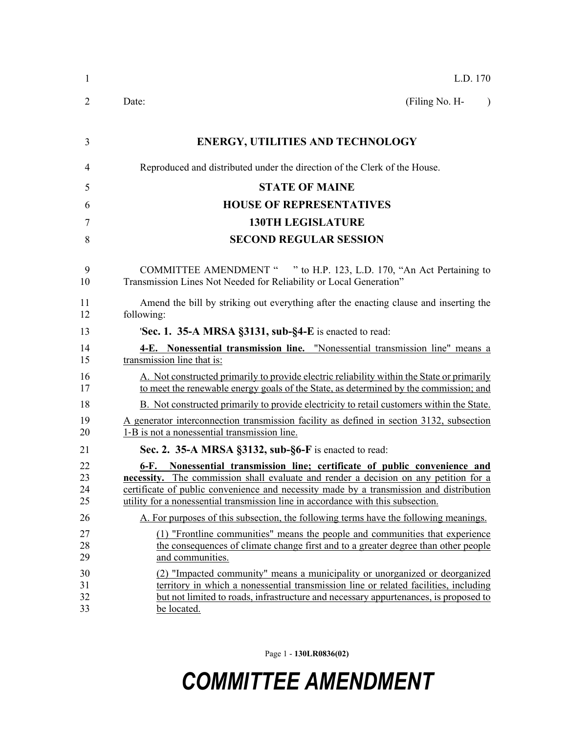| $\mathbf{1}$         | L.D. 170                                                                                                                                                                                                                                                                                                                                             |
|----------------------|------------------------------------------------------------------------------------------------------------------------------------------------------------------------------------------------------------------------------------------------------------------------------------------------------------------------------------------------------|
| 2                    | Date:<br>(Filing No. H-<br>$\lambda$                                                                                                                                                                                                                                                                                                                 |
| 3                    | <b>ENERGY, UTILITIES AND TECHNOLOGY</b>                                                                                                                                                                                                                                                                                                              |
| 4                    | Reproduced and distributed under the direction of the Clerk of the House.                                                                                                                                                                                                                                                                            |
| 5                    | <b>STATE OF MAINE</b>                                                                                                                                                                                                                                                                                                                                |
| 6                    | <b>HOUSE OF REPRESENTATIVES</b>                                                                                                                                                                                                                                                                                                                      |
| 7                    | <b>130TH LEGISLATURE</b>                                                                                                                                                                                                                                                                                                                             |
| 8                    | <b>SECOND REGULAR SESSION</b>                                                                                                                                                                                                                                                                                                                        |
| 9<br>10              | COMMITTEE AMENDMENT " " to H.P. 123, L.D. 170, "An Act Pertaining to<br>Transmission Lines Not Needed for Reliability or Local Generation"                                                                                                                                                                                                           |
| 11<br>12             | Amend the bill by striking out everything after the enacting clause and inserting the<br>following:                                                                                                                                                                                                                                                  |
| 13                   | <b>Sec. 1. 35-A MRSA §3131, sub-§4-E</b> is enacted to read:                                                                                                                                                                                                                                                                                         |
| 14<br>15             | 4-E. Nonessential transmission line. "Nonessential transmission line" means a<br>transmission line that is:                                                                                                                                                                                                                                          |
| 16<br>17             | A. Not constructed primarily to provide electric reliability within the State or primarily<br>to meet the renewable energy goals of the State, as determined by the commission; and                                                                                                                                                                  |
| 18                   | B. Not constructed primarily to provide electricity to retail customers within the State.                                                                                                                                                                                                                                                            |
| 19<br>20             | A generator interconnection transmission facility as defined in section 3132, subsection<br>1-B is not a nonessential transmission line.                                                                                                                                                                                                             |
| 21                   | Sec. 2. 35-A MRSA §3132, sub-§6-F is enacted to read:                                                                                                                                                                                                                                                                                                |
| 22<br>23<br>24<br>25 | Nonessential transmission line; certificate of public convenience and<br>6-F.<br>necessity. The commission shall evaluate and render a decision on any petition for a<br>certificate of public convenience and necessity made by a transmission and distribution<br>utility for a nonessential transmission line in accordance with this subsection. |
| 26                   | A. For purposes of this subsection, the following terms have the following meanings.                                                                                                                                                                                                                                                                 |
| 27<br>28<br>29       | (1) "Frontline communities" means the people and communities that experience<br>the consequences of climate change first and to a greater degree than other people<br>and communities.                                                                                                                                                               |
| 30<br>31<br>32<br>33 | (2) "Impacted community" means a municipality or unorganized or deorganized<br>territory in which a nonessential transmission line or related facilities, including<br>but not limited to roads, infrastructure and necessary appurtenances, is proposed to<br>be located.                                                                           |

Page 1 - **130LR0836(02)**

## *COMMITTEE AMENDMENT*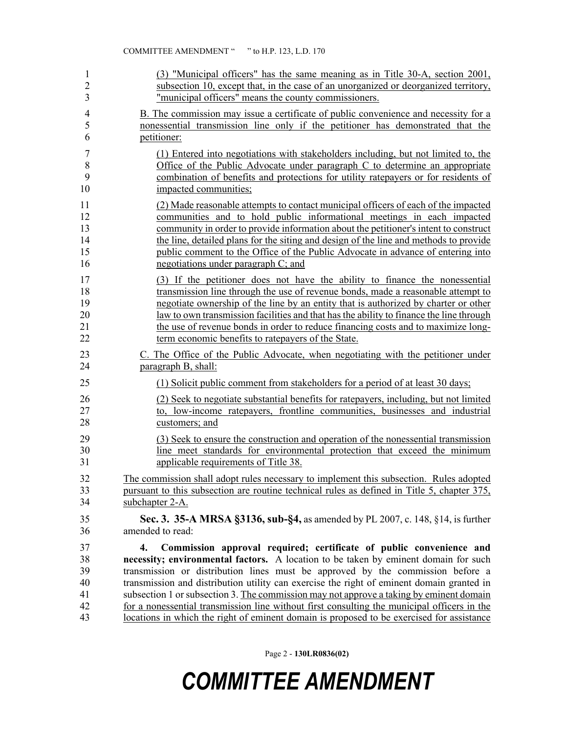| $\mathbf{1}$                           | (3) "Municipal officers" has the same meaning as in Title 30-A, section 2001,                                                                                                                                                                                                                                                                                                                                                                                                                                                                                                                                                          |
|----------------------------------------|----------------------------------------------------------------------------------------------------------------------------------------------------------------------------------------------------------------------------------------------------------------------------------------------------------------------------------------------------------------------------------------------------------------------------------------------------------------------------------------------------------------------------------------------------------------------------------------------------------------------------------------|
| $\overline{2}$                         | subsection 10, except that, in the case of an unorganized or deorganized territory,                                                                                                                                                                                                                                                                                                                                                                                                                                                                                                                                                    |
| 3                                      | "municipal officers" means the county commissioners.                                                                                                                                                                                                                                                                                                                                                                                                                                                                                                                                                                                   |
| $\overline{4}$                         | B. The commission may issue a certificate of public convenience and necessity for a                                                                                                                                                                                                                                                                                                                                                                                                                                                                                                                                                    |
| 5                                      | nonessential transmission line only if the petitioner has demonstrated that the                                                                                                                                                                                                                                                                                                                                                                                                                                                                                                                                                        |
| 6                                      | petitioner:                                                                                                                                                                                                                                                                                                                                                                                                                                                                                                                                                                                                                            |
| $\overline{7}$                         | (1) Entered into negotiations with stakeholders including, but not limited to, the                                                                                                                                                                                                                                                                                                                                                                                                                                                                                                                                                     |
| 8                                      | Office of the Public Advocate under paragraph C to determine an appropriate                                                                                                                                                                                                                                                                                                                                                                                                                                                                                                                                                            |
| 9                                      | combination of benefits and protections for utility ratepayers or for residents of                                                                                                                                                                                                                                                                                                                                                                                                                                                                                                                                                     |
| 10                                     | impacted communities;                                                                                                                                                                                                                                                                                                                                                                                                                                                                                                                                                                                                                  |
| 11                                     | (2) Made reasonable attempts to contact municipal officers of each of the impacted                                                                                                                                                                                                                                                                                                                                                                                                                                                                                                                                                     |
| 12                                     | communities and to hold public informational meetings in each impacted                                                                                                                                                                                                                                                                                                                                                                                                                                                                                                                                                                 |
| 13                                     | community in order to provide information about the petitioner's intent to construct                                                                                                                                                                                                                                                                                                                                                                                                                                                                                                                                                   |
| 14                                     | the line, detailed plans for the siting and design of the line and methods to provide                                                                                                                                                                                                                                                                                                                                                                                                                                                                                                                                                  |
| 15                                     | public comment to the Office of the Public Advocate in advance of entering into                                                                                                                                                                                                                                                                                                                                                                                                                                                                                                                                                        |
| 16                                     | negotiations under paragraph C; and                                                                                                                                                                                                                                                                                                                                                                                                                                                                                                                                                                                                    |
| 17                                     | (3) If the petitioner does not have the ability to finance the nonessential                                                                                                                                                                                                                                                                                                                                                                                                                                                                                                                                                            |
| 18                                     | transmission line through the use of revenue bonds, made a reasonable attempt to                                                                                                                                                                                                                                                                                                                                                                                                                                                                                                                                                       |
| 19                                     | negotiate ownership of the line by an entity that is authorized by charter or other                                                                                                                                                                                                                                                                                                                                                                                                                                                                                                                                                    |
| 20                                     | law to own transmission facilities and that has the ability to finance the line through                                                                                                                                                                                                                                                                                                                                                                                                                                                                                                                                                |
| 21                                     | the use of revenue bonds in order to reduce financing costs and to maximize long-                                                                                                                                                                                                                                                                                                                                                                                                                                                                                                                                                      |
| 22                                     | term economic benefits to ratepayers of the State.                                                                                                                                                                                                                                                                                                                                                                                                                                                                                                                                                                                     |
| 23                                     | C. The Office of the Public Advocate, when negotiating with the petitioner under                                                                                                                                                                                                                                                                                                                                                                                                                                                                                                                                                       |
| 24                                     | paragraph B, shall:                                                                                                                                                                                                                                                                                                                                                                                                                                                                                                                                                                                                                    |
| 25                                     | (1) Solicit public comment from stakeholders for a period of at least 30 days;                                                                                                                                                                                                                                                                                                                                                                                                                                                                                                                                                         |
| 26                                     | (2) Seek to negotiate substantial benefits for ratepayers, including, but not limited                                                                                                                                                                                                                                                                                                                                                                                                                                                                                                                                                  |
| 27                                     | to, low-income ratepayers, frontline communities, businesses and industrial                                                                                                                                                                                                                                                                                                                                                                                                                                                                                                                                                            |
| 28                                     | customers; and                                                                                                                                                                                                                                                                                                                                                                                                                                                                                                                                                                                                                         |
| 29                                     | (3) Seek to ensure the construction and operation of the nonessential transmission                                                                                                                                                                                                                                                                                                                                                                                                                                                                                                                                                     |
| 30                                     | line meet standards for environmental protection that exceed the minimum                                                                                                                                                                                                                                                                                                                                                                                                                                                                                                                                                               |
| 31                                     | applicable requirements of Title 38.                                                                                                                                                                                                                                                                                                                                                                                                                                                                                                                                                                                                   |
| 32                                     | The commission shall adopt rules necessary to implement this subsection. Rules adopted                                                                                                                                                                                                                                                                                                                                                                                                                                                                                                                                                 |
| 33                                     | pursuant to this subsection are routine technical rules as defined in Title 5, chapter 375,                                                                                                                                                                                                                                                                                                                                                                                                                                                                                                                                            |
| 34                                     | subchapter 2-A.                                                                                                                                                                                                                                                                                                                                                                                                                                                                                                                                                                                                                        |
| 35                                     | Sec. 3. 35-A MRSA §3136, sub-§4, as amended by PL 2007, c. 148, §14, is further                                                                                                                                                                                                                                                                                                                                                                                                                                                                                                                                                        |
| 36                                     | amended to read:                                                                                                                                                                                                                                                                                                                                                                                                                                                                                                                                                                                                                       |
| 37<br>38<br>39<br>40<br>41<br>42<br>43 | Commission approval required; certificate of public convenience and<br>4.<br>necessity; environmental factors. A location to be taken by eminent domain for such<br>transmission or distribution lines must be approved by the commission before a<br>transmission and distribution utility can exercise the right of eminent domain granted in<br>subsection 1 or subsection 3. The commission may not approve a taking by eminent domain<br>for a nonessential transmission line without first consulting the municipal officers in the<br>locations in which the right of eminent domain is proposed to be exercised for assistance |

Page 2 - **130LR0836(02)**

## *COMMITTEE AMENDMENT*